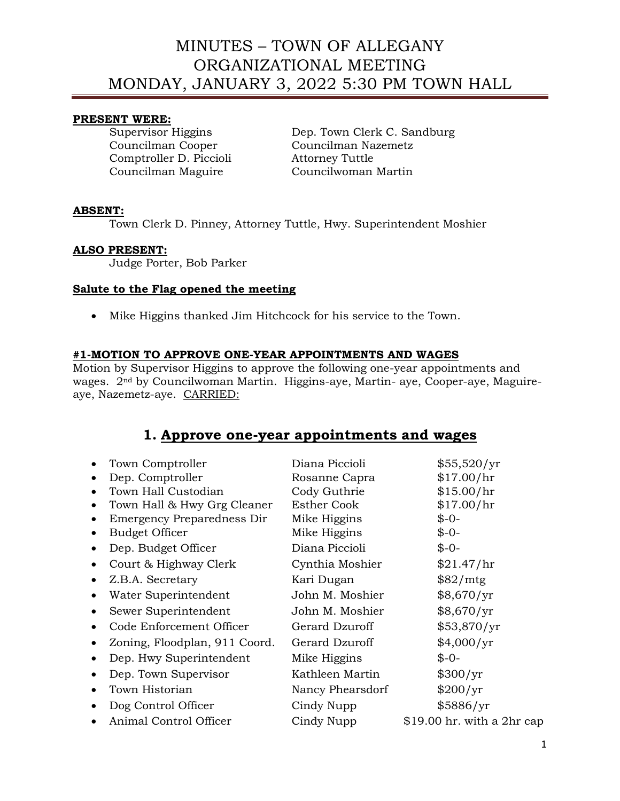### **PRESENT WERE:**

Comptroller D. Piccioli Attorney Tuttle

Supervisor Higgins Dep. Town Clerk C. Sandburg Councilman Cooper Councilman Nazemetz Councilman Maguire Councilwoman Martin

## **ABSENT:**

Town Clerk D. Pinney, Attorney Tuttle, Hwy. Superintendent Moshier

### **ALSO PRESENT:**

Judge Porter, Bob Parker

## **Salute to the Flag opened the meeting**

• Mike Higgins thanked Jim Hitchcock for his service to the Town.

## **#1-MOTION TO APPROVE ONE-YEAR APPOINTMENTS AND WAGES**

Motion by Supervisor Higgins to approve the following one-year appointments and wages. 2nd by Councilwoman Martin. Higgins-aye, Martin- aye, Cooper-aye, Maguireaye, Nazemetz-aye. CARRIED:

## **1. Approve one-year appointments and wages**

|           | Town Comptroller              | Diana Piccioli     | \$55,520/yr                |
|-----------|-------------------------------|--------------------|----------------------------|
|           | Dep. Comptroller              | Rosanne Capra      | \$17.00/hr                 |
|           | Town Hall Custodian           | Cody Guthrie       | \$15.00/hr                 |
|           | Town Hall & Hwy Grg Cleaner   | <b>Esther Cook</b> | \$17.00/hr                 |
|           | Emergency Preparedness Dir    | Mike Higgins       | $$ -0-$                    |
|           | <b>Budget Officer</b>         | Mike Higgins       | $$ -0-$                    |
| ٠         | Dep. Budget Officer           | Diana Piccioli     | $$ -0-$                    |
|           | Court & Highway Clerk         | Cynthia Moshier    | \$21.47/hr                 |
| $\bullet$ | Z.B.A. Secretary              | Kari Dugan         | \$82/mtg                   |
| $\bullet$ | Water Superintendent          | John M. Moshier    | \$8,670/yr                 |
| $\bullet$ | Sewer Superintendent          | John M. Moshier    | \$8,670/yr                 |
|           | Code Enforcement Officer      | Gerard Dzuroff     | \$53,870/yr                |
|           | Zoning, Floodplan, 911 Coord. | Gerard Dzuroff     | \$4,000/yr                 |
|           | Dep. Hwy Superintendent       | Mike Higgins       | $$ -0-$                    |
|           | Dep. Town Supervisor          | Kathleen Martin    | \$300/yr                   |
| $\bullet$ | Town Historian                | Nancy Phearsdorf   | \$200/yr                   |
|           | Dog Control Officer           | Cindy Nupp         | \$5886/yr                  |
|           | Animal Control Officer        | Cindy Nupp         | \$19.00 hr. with a 2hr cap |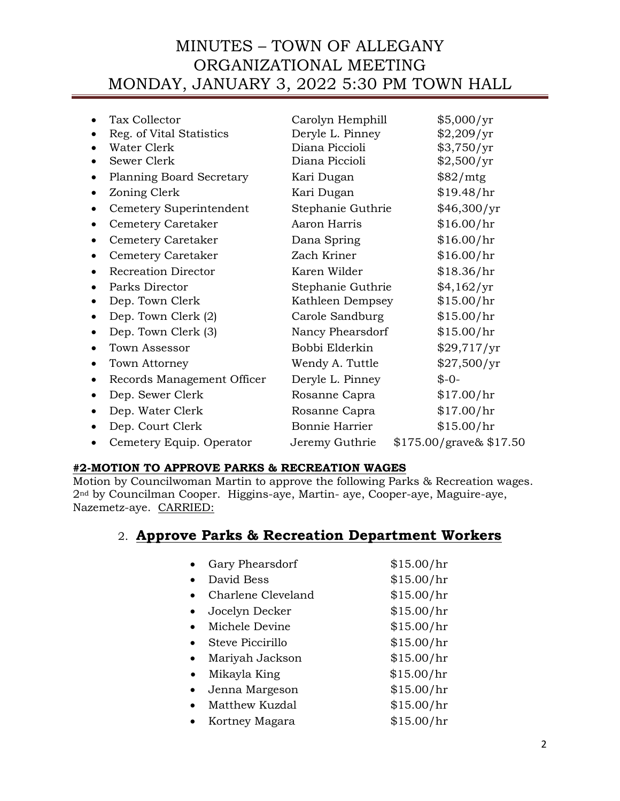|           | Tax Collector<br>Reg. of Vital Statistics<br>Water Clerk<br>Sewer Clerk | Carolyn Hemphill<br>Deryle L. Pinney<br>Diana Piccioli<br>Diana Piccioli | \$5,000/yr<br>\$2,209/yr<br>\$3,750/yr<br>\$2,500/yr |
|-----------|-------------------------------------------------------------------------|--------------------------------------------------------------------------|------------------------------------------------------|
|           | <b>Planning Board Secretary</b>                                         | Kari Dugan                                                               | \$82/mtg                                             |
|           | Zoning Clerk                                                            | Kari Dugan                                                               | \$19.48/hr                                           |
|           | Cemetery Superintendent                                                 | Stephanie Guthrie                                                        | \$46,300/yr                                          |
|           | Cemetery Caretaker                                                      | Aaron Harris                                                             | \$16.00/hr                                           |
|           | Cemetery Caretaker                                                      | Dana Spring                                                              | \$16.00/hr                                           |
|           | Cemetery Caretaker                                                      | Zach Kriner                                                              | \$16.00/hr                                           |
|           | <b>Recreation Director</b>                                              | Karen Wilder                                                             | \$18.36/hr                                           |
|           | Parks Director                                                          | Stephanie Guthrie                                                        | \$4,162/yr                                           |
|           | Dep. Town Clerk                                                         | Kathleen Dempsey                                                         | \$15.00/hr                                           |
|           | Dep. Town Clerk (2)                                                     | Carole Sandburg                                                          | \$15.00/hr                                           |
|           | Dep. Town Clerk (3)                                                     | Nancy Phearsdorf                                                         | \$15.00/hr                                           |
|           | Town Assessor                                                           | Bobbi Elderkin                                                           | \$29,717/yr                                          |
| $\bullet$ | Town Attorney                                                           | Wendy A. Tuttle                                                          | \$27,500/yr                                          |
|           | Records Management Officer                                              | Deryle L. Pinney                                                         | $$ -0-$                                              |
|           | Dep. Sewer Clerk                                                        | Rosanne Capra                                                            | \$17.00/hr                                           |
|           | Dep. Water Clerk                                                        | Rosanne Capra                                                            | \$17.00/hr                                           |
|           | Dep. Court Clerk                                                        | Bonnie Harrier                                                           | \$15.00/hr                                           |
|           | Cemetery Equip. Operator                                                | Jeremy Guthrie                                                           | $$175.00/grave\& $17.50$                             |
|           |                                                                         |                                                                          |                                                      |

## **#2-MOTION TO APPROVE PARKS & RECREATION WAGES**

Motion by Councilwoman Martin to approve the following Parks & Recreation wages. 2nd by Councilman Cooper. Higgins-aye, Martin- aye, Cooper-aye, Maguire-aye, Nazemetz-aye. CARRIED:

## 2. **Approve Parks & Recreation Department Workers**

|           | Gary Phearsdorf    | \$15.00/hr |
|-----------|--------------------|------------|
|           | David Bess         | \$15.00/hr |
|           | Charlene Cleveland | \$15.00/hr |
|           | Jocelyn Decker     | \$15.00/hr |
|           | Michele Devine     | \$15.00/hr |
|           | Steve Piccirillo   | \$15.00/hr |
| $\bullet$ | Mariyah Jackson    | \$15.00/hr |
|           | Mikayla King       | \$15.00/hr |
|           | Jenna Margeson     | \$15.00/hr |
|           | Matthew Kuzdal     | \$15.00/hr |
|           | Kortney Magara     | \$15.00/hr |
|           |                    |            |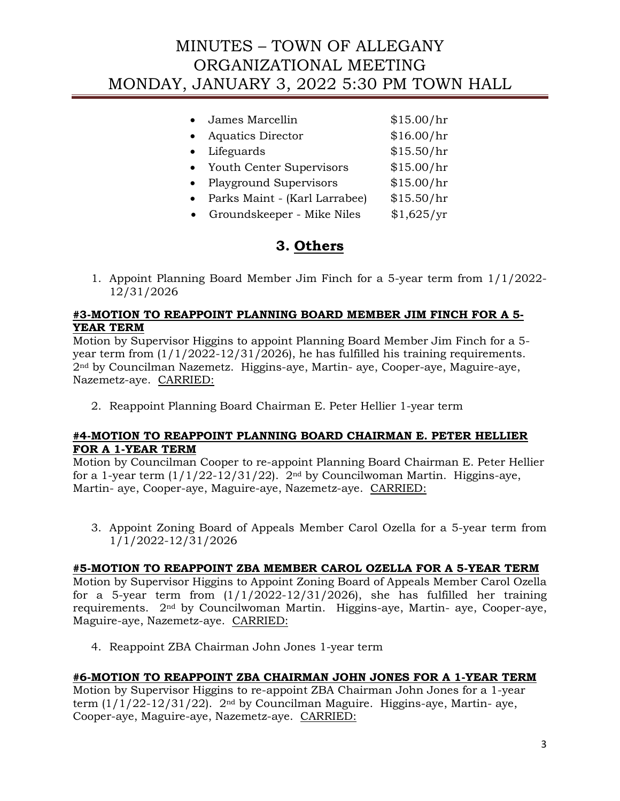|           | James Marcellin               | \$15.00/hr |
|-----------|-------------------------------|------------|
|           | Aquatics Director             | \$16.00/hr |
| $\bullet$ | Lifeguards                    | \$15.50/hr |
| $\bullet$ | Youth Center Supervisors      | \$15.00/hr |
|           | <b>Playground Supervisors</b> | \$15.00/hr |
|           | Parks Maint - (Karl Larrabee) | \$15.50/hr |
| $\bullet$ | Groundskeeper - Mike Niles    | \$1,625/yr |
|           |                               |            |

## **3. Others**

1. Appoint Planning Board Member Jim Finch for a 5-year term from 1/1/2022- 12/31/2026

## **#3-MOTION TO REAPPOINT PLANNING BOARD MEMBER JIM FINCH FOR A 5- YEAR TERM**

Motion by Supervisor Higgins to appoint Planning Board Member Jim Finch for a 5 year term from (1/1/2022-12/31/2026), he has fulfilled his training requirements. 2nd by Councilman Nazemetz. Higgins-aye, Martin- aye, Cooper-aye, Maguire-aye, Nazemetz-aye. CARRIED:

2. Reappoint Planning Board Chairman E. Peter Hellier 1-year term

## **#4-MOTION TO REAPPOINT PLANNING BOARD CHAIRMAN E. PETER HELLIER FOR A 1-YEAR TERM**

Motion by Councilman Cooper to re-appoint Planning Board Chairman E. Peter Hellier for a 1-year term  $(1/1/22-12/31/22)$ .  $2<sup>nd</sup>$  by Councilwoman Martin. Higgins-aye, Martin- aye, Cooper-aye, Maguire-aye, Nazemetz-aye. CARRIED:

3. Appoint Zoning Board of Appeals Member Carol Ozella for a 5-year term from 1/1/2022-12/31/2026

## **#5-MOTION TO REAPPOINT ZBA MEMBER CAROL OZELLA FOR A 5-YEAR TERM**

Motion by Supervisor Higgins to Appoint Zoning Board of Appeals Member Carol Ozella for a 5-year term from  $(1/1/2022-12/31/2026)$ , she has fulfilled her training requirements. 2nd by Councilwoman Martin. Higgins-aye, Martin- aye, Cooper-aye, Maguire-aye, Nazemetz-aye. CARRIED:

4. Reappoint ZBA Chairman John Jones 1-year term

## **#6-MOTION TO REAPPOINT ZBA CHAIRMAN JOHN JONES FOR A 1-YEAR TERM**

Motion by Supervisor Higgins to re-appoint ZBA Chairman John Jones for a 1-year term (1/1/22-12/31/22). 2nd by Councilman Maguire. Higgins-aye, Martin- aye, Cooper-aye, Maguire-aye, Nazemetz-aye. CARRIED: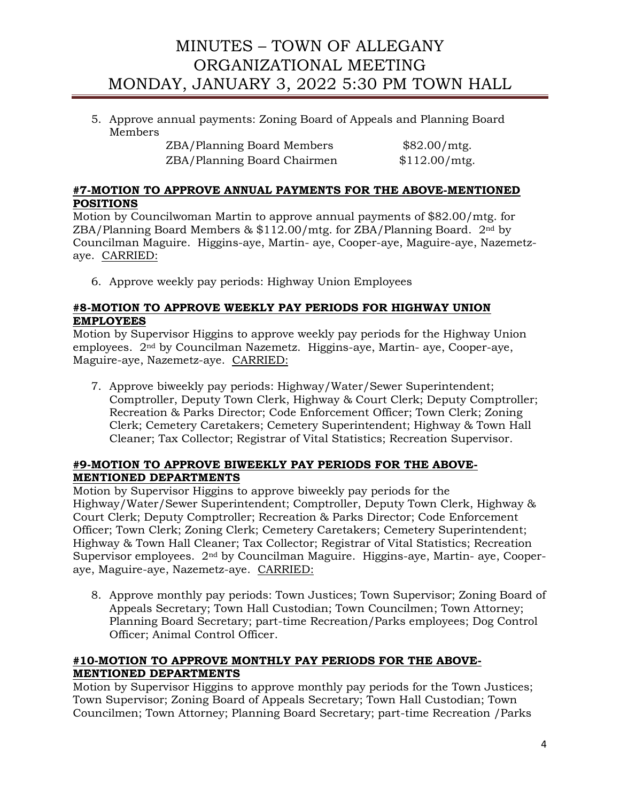5. Approve annual payments: Zoning Board of Appeals and Planning Board Members

| <b>ZBA/Planning Board Members</b> |  |
|-----------------------------------|--|
| ZBA/Planning Board Chairmen       |  |

 $$82.00/mtg.$  $$112.00/mtg.$ 

## **#7-MOTION TO APPROVE ANNUAL PAYMENTS FOR THE ABOVE-MENTIONED POSITIONS**

Motion by Councilwoman Martin to approve annual payments of \$82.00/mtg. for ZBA/Planning Board Members  $\&$  \$112.00/mtg. for ZBA/Planning Board.  $2<sup>nd</sup>$  by Councilman Maguire. Higgins-aye, Martin- aye, Cooper-aye, Maguire-aye, Nazemetzaye. CARRIED:

6. Approve weekly pay periods: Highway Union Employees

## **#8-MOTION TO APPROVE WEEKLY PAY PERIODS FOR HIGHWAY UNION EMPLOYEES**

Motion by Supervisor Higgins to approve weekly pay periods for the Highway Union employees. 2nd by Councilman Nazemetz. Higgins-aye, Martin- aye, Cooper-aye, Maguire-aye, Nazemetz-aye. CARRIED:

7. Approve biweekly pay periods: Highway/Water/Sewer Superintendent; Comptroller, Deputy Town Clerk, Highway & Court Clerk; Deputy Comptroller; Recreation & Parks Director; Code Enforcement Officer; Town Clerk; Zoning Clerk; Cemetery Caretakers; Cemetery Superintendent; Highway & Town Hall Cleaner; Tax Collector; Registrar of Vital Statistics; Recreation Supervisor.

## **#9-MOTION TO APPROVE BIWEEKLY PAY PERIODS FOR THE ABOVE-MENTIONED DEPARTMENTS**

Motion by Supervisor Higgins to approve biweekly pay periods for the Highway/Water/Sewer Superintendent; Comptroller, Deputy Town Clerk, Highway & Court Clerk; Deputy Comptroller; Recreation & Parks Director; Code Enforcement Officer; Town Clerk; Zoning Clerk; Cemetery Caretakers; Cemetery Superintendent; Highway & Town Hall Cleaner; Tax Collector; Registrar of Vital Statistics; Recreation Supervisor employees. 2nd by Councilman Maguire. Higgins-aye, Martin- aye, Cooperaye, Maguire-aye, Nazemetz-aye. CARRIED:

8. Approve monthly pay periods: Town Justices; Town Supervisor; Zoning Board of Appeals Secretary; Town Hall Custodian; Town Councilmen; Town Attorney; Planning Board Secretary; part-time Recreation/Parks employees; Dog Control Officer; Animal Control Officer.

## **#10-MOTION TO APPROVE MONTHLY PAY PERIODS FOR THE ABOVE-MENTIONED DEPARTMENTS**

Motion by Supervisor Higgins to approve monthly pay periods for the Town Justices; Town Supervisor; Zoning Board of Appeals Secretary; Town Hall Custodian; Town Councilmen; Town Attorney; Planning Board Secretary; part-time Recreation /Parks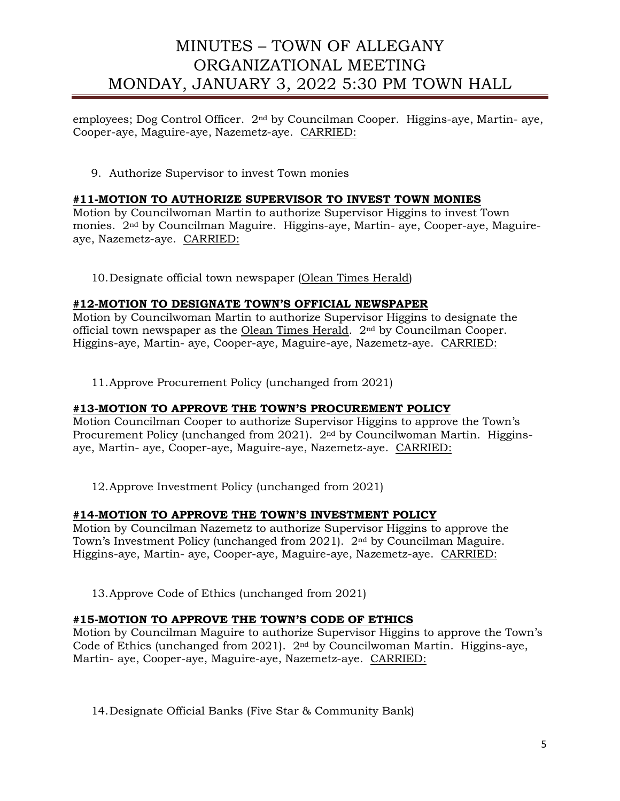employees; Dog Control Officer. 2nd by Councilman Cooper. Higgins-aye, Martin- aye, Cooper-aye, Maguire-aye, Nazemetz-aye. CARRIED:

9. Authorize Supervisor to invest Town monies

#### **#11-MOTION TO AUTHORIZE SUPERVISOR TO INVEST TOWN MONIES**

Motion by Councilwoman Martin to authorize Supervisor Higgins to invest Town monies. 2nd by Councilman Maguire. Higgins-aye, Martin- aye, Cooper-aye, Maguireaye, Nazemetz-aye. CARRIED:

10.Designate official town newspaper (Olean Times Herald)

#### **#12-MOTION TO DESIGNATE TOWN'S OFFICIAL NEWSPAPER**

Motion by Councilwoman Martin to authorize Supervisor Higgins to designate the official town newspaper as the Olean Times Herald. 2nd by Councilman Cooper. Higgins-aye, Martin- aye, Cooper-aye, Maguire-aye, Nazemetz-aye. CARRIED:

11.Approve Procurement Policy (unchanged from 2021)

#### **#13-MOTION TO APPROVE THE TOWN'S PROCUREMENT POLICY**

Motion Councilman Cooper to authorize Supervisor Higgins to approve the Town's Procurement Policy (unchanged from 2021). 2nd by Councilwoman Martin. Higginsaye, Martin- aye, Cooper-aye, Maguire-aye, Nazemetz-aye. CARRIED:

12.Approve Investment Policy (unchanged from 2021)

#### **#14-MOTION TO APPROVE THE TOWN'S INVESTMENT POLICY**

Motion by Councilman Nazemetz to authorize Supervisor Higgins to approve the Town's Investment Policy (unchanged from 2021). 2nd by Councilman Maguire. Higgins-aye, Martin- aye, Cooper-aye, Maguire-aye, Nazemetz-aye. CARRIED:

13.Approve Code of Ethics (unchanged from 2021)

### **#15-MOTION TO APPROVE THE TOWN'S CODE OF ETHICS**

Motion by Councilman Maguire to authorize Supervisor Higgins to approve the Town's Code of Ethics (unchanged from 2021). 2nd by Councilwoman Martin. Higgins-aye, Martin- aye, Cooper-aye, Maguire-aye, Nazemetz-aye. CARRIED:

14.Designate Official Banks (Five Star & Community Bank)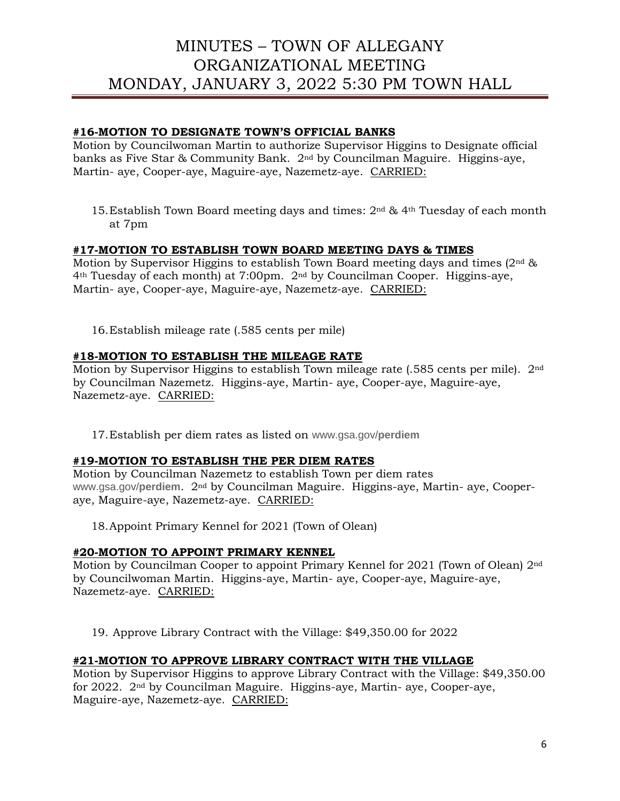### **#16-MOTION TO DESIGNATE TOWN'S OFFICIAL BANKS**

Motion by Councilwoman Martin to authorize Supervisor Higgins to Designate official banks as Five Star & Community Bank. 2nd by Councilman Maguire. Higgins-aye, Martin- aye, Cooper-aye, Maguire-aye, Nazemetz-aye. CARRIED:

15.Establish Town Board meeting days and times: 2nd & 4th Tuesday of each month at 7pm

## **#17-MOTION TO ESTABLISH TOWN BOARD MEETING DAYS & TIMES**

Motion by Supervisor Higgins to establish Town Board meeting days and times  $(2<sup>nd</sup> \& )$  $4<sup>th</sup> Tuesday of each month) at 7:00pm. 2<sup>nd</sup> by Councilman Cooper. Higgsins-ave,$ Martin- aye, Cooper-aye, Maguire-aye, Nazemetz-aye. CARRIED:

16.Establish mileage rate (.585 cents per mile)

### **#18-MOTION TO ESTABLISH THE MILEAGE RATE**

Motion by Supervisor Higgins to establish Town mileage rate (.585 cents per mile). 2nd by Councilman Nazemetz. Higgins-aye, Martin- aye, Cooper-aye, Maguire-aye, Nazemetz-aye. CARRIED:

17.Establish per diem rates as listed on www.gsa.gov/**perdiem**

#### **#19-MOTION TO ESTABLISH THE PER DIEM RATES**

Motion by Councilman Nazemetz to establish Town per diem rates www.gsa.gov/**perdiem**. 2nd by Councilman Maguire. Higgins-aye, Martin- aye, Cooperaye, Maguire-aye, Nazemetz-aye. CARRIED:

18.Appoint Primary Kennel for 2021 (Town of Olean)

#### **#20-MOTION TO APPOINT PRIMARY KENNEL**

Motion by Councilman Cooper to appoint Primary Kennel for 2021 (Town of Olean) 2nd by Councilwoman Martin. Higgins-aye, Martin- aye, Cooper-aye, Maguire-aye, Nazemetz-aye. CARRIED:

19. Approve Library Contract with the Village: \$49,350.00 for 2022

#### **#21-MOTION TO APPROVE LIBRARY CONTRACT WITH THE VILLAGE**

Motion by Supervisor Higgins to approve Library Contract with the Village: \$49,350.00 for 2022. 2nd by Councilman Maguire. Higgins-aye, Martin- aye, Cooper-aye, Maguire-aye, Nazemetz-aye. CARRIED: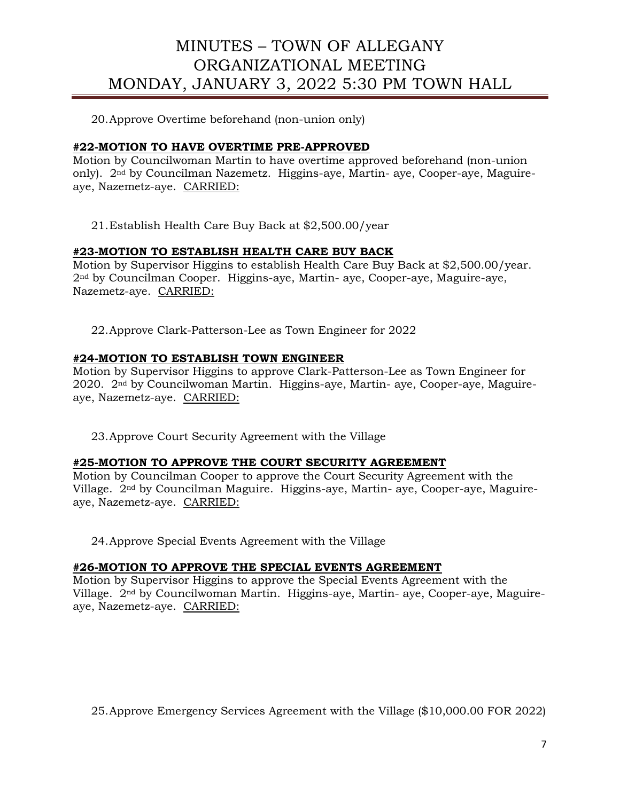20.Approve Overtime beforehand (non-union only)

## **#22-MOTION TO HAVE OVERTIME PRE-APPROVED**

Motion by Councilwoman Martin to have overtime approved beforehand (non-union only). 2nd by Councilman Nazemetz. Higgins-aye, Martin- aye, Cooper-aye, Maguireaye, Nazemetz-aye. CARRIED:

21.Establish Health Care Buy Back at \$2,500.00/year

## **#23-MOTION TO ESTABLISH HEALTH CARE BUY BACK**

Motion by Supervisor Higgins to establish Health Care Buy Back at \$2,500.00/year. 2nd by Councilman Cooper. Higgins-aye, Martin- aye, Cooper-aye, Maguire-aye, Nazemetz-aye. CARRIED:

22.Approve Clark-Patterson-Lee as Town Engineer for 2022

## **#24-MOTION TO ESTABLISH TOWN ENGINEER**

Motion by Supervisor Higgins to approve Clark-Patterson-Lee as Town Engineer for 2020. 2nd by Councilwoman Martin. Higgins-aye, Martin- aye, Cooper-aye, Maguireaye, Nazemetz-aye. CARRIED:

23.Approve Court Security Agreement with the Village

### **#25-MOTION TO APPROVE THE COURT SECURITY AGREEMENT**

Motion by Councilman Cooper to approve the Court Security Agreement with the Village. 2nd by Councilman Maguire. Higgins-aye, Martin- aye, Cooper-aye, Maguireaye, Nazemetz-aye. CARRIED:

24.Approve Special Events Agreement with the Village

## **#26-MOTION TO APPROVE THE SPECIAL EVENTS AGREEMENT**

Motion by Supervisor Higgins to approve the Special Events Agreement with the Village. 2nd by Councilwoman Martin. Higgins-aye, Martin- aye, Cooper-aye, Maguireaye, Nazemetz-aye. CARRIED:

25.Approve Emergency Services Agreement with the Village (\$10,000.00 FOR 2022)